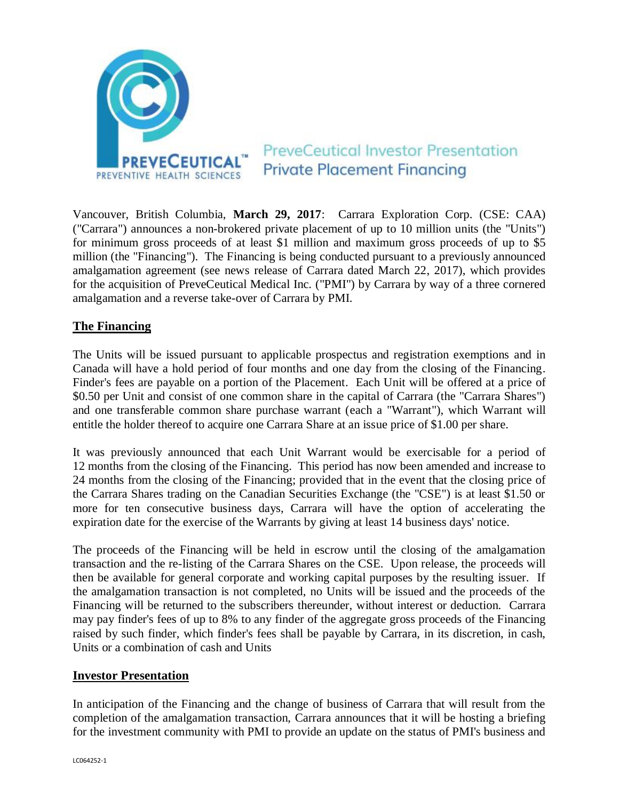

# **PreveCeutical Investor Presentation Private Placement Financing**

Vancouver, British Columbia, **March 29, 2017**: Carrara Exploration Corp. (CSE: CAA) ("Carrara") announces a non-brokered private placement of up to 10 million units (the "Units") for minimum gross proceeds of at least \$1 million and maximum gross proceeds of up to \$5 million (the "Financing"). The Financing is being conducted pursuant to a previously announced amalgamation agreement (see news release of Carrara dated March 22, 2017), which provides for the acquisition of PreveCeutical Medical Inc. ("PMI") by Carrara by way of a three cornered amalgamation and a reverse take-over of Carrara by PMI.

# **The Financing**

The Units will be issued pursuant to applicable prospectus and registration exemptions and in Canada will have a hold period of four months and one day from the closing of the Financing. Finder's fees are payable on a portion of the Placement. Each Unit will be offered at a price of \$0.50 per Unit and consist of one common share in the capital of Carrara (the "Carrara Shares") and one transferable common share purchase warrant (each a "Warrant"), which Warrant will entitle the holder thereof to acquire one Carrara Share at an issue price of \$1.00 per share.

It was previously announced that each Unit Warrant would be exercisable for a period of 12 months from the closing of the Financing. This period has now been amended and increase to 24 months from the closing of the Financing; provided that in the event that the closing price of the Carrara Shares trading on the Canadian Securities Exchange (the "CSE") is at least \$1.50 or more for ten consecutive business days, Carrara will have the option of accelerating the expiration date for the exercise of the Warrants by giving at least 14 business days' notice.

The proceeds of the Financing will be held in escrow until the closing of the amalgamation transaction and the re-listing of the Carrara Shares on the CSE. Upon release, the proceeds will then be available for general corporate and working capital purposes by the resulting issuer. If the amalgamation transaction is not completed, no Units will be issued and the proceeds of the Financing will be returned to the subscribers thereunder, without interest or deduction. Carrara may pay finder's fees of up to 8% to any finder of the aggregate gross proceeds of the Financing raised by such finder, which finder's fees shall be payable by Carrara, in its discretion, in cash, Units or a combination of cash and Units

## **Investor Presentation**

In anticipation of the Financing and the change of business of Carrara that will result from the completion of the amalgamation transaction, Carrara announces that it will be hosting a briefing for the investment community with PMI to provide an update on the status of PMI's business and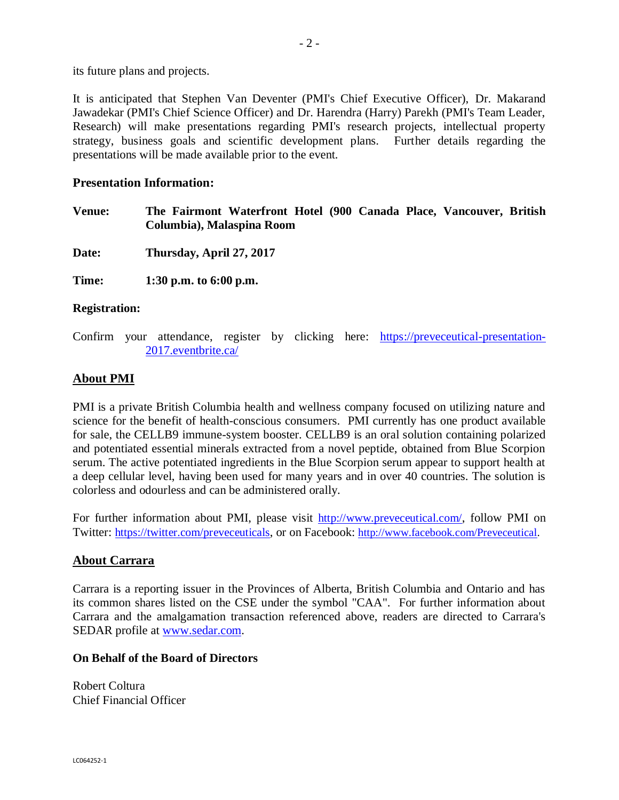its future plans and projects.

It is anticipated that Stephen Van Deventer (PMI's Chief Executive Officer), Dr. Makarand Jawadekar (PMI's Chief Science Officer) and Dr. Harendra (Harry) Parekh (PMI's Team Leader, Research) will make presentations regarding PMI's research projects, intellectual property strategy, business goals and scientific development plans. Further details regarding the presentations will be made available prior to the event.

#### **Presentation Information:**

**Venue: The Fairmont Waterfront Hotel (900 Canada Place, Vancouver, British Columbia), Malaspina Room**

**Date: Thursday, April 27, 2017**

**Time: 1:30 p.m. to 6:00 p.m.**

#### **Registration:**

Confirm your attendance, register by clicking here: [https://preveceutical-presentation-](https://preveceutical-presentation-2017.eventbrite.ca/)[2017.eventbrite.ca/](https://preveceutical-presentation-2017.eventbrite.ca/)

# **About PMI**

PMI is a private British Columbia health and wellness company focused on utilizing nature and science for the benefit of health-conscious consumers. PMI currently has one product available for sale, the CELLB9 immune-system booster. CELLB9 is an oral solution containing polarized and potentiated essential minerals extracted from a novel peptide, obtained from Blue Scorpion serum. The active potentiated ingredients in the Blue Scorpion serum appear to support health at a deep cellular level, having been used for many years and in over 40 countries. The solution is colorless and odourless and can be administered orally.

For further information about PMI, please visit <http://www.preveceutical.com/>, follow PMI on Twitter: <https://twitter.com/preveceuticals>, or on Facebook: [http://www.facebook.com/Preveceutical.](http://www.facebook.com/Preveceutical)

## **About Carrara**

Carrara is a reporting issuer in the Provinces of Alberta, British Columbia and Ontario and has its common shares listed on the CSE under the symbol "CAA". For further information about Carrara and the amalgamation transaction referenced above, readers are directed to Carrara's SEDAR profile at [www.sedar.com.](http://www.sedar.com/)

#### **On Behalf of the Board of Directors**

Robert Coltura Chief Financial Officer